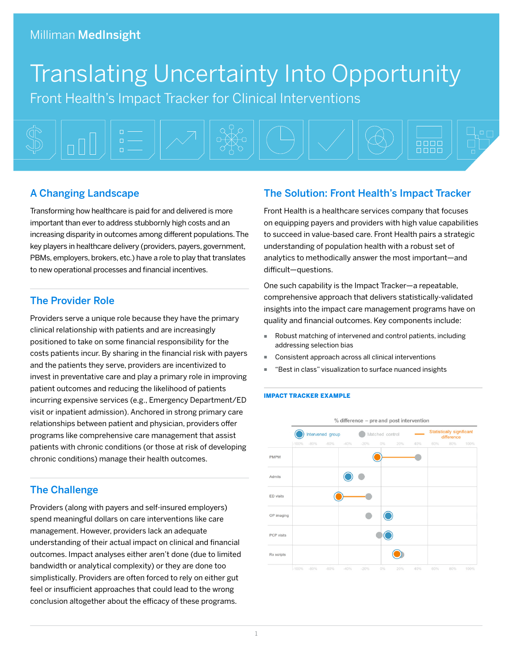# Translating Uncertainty Into Opportunity

Front Health's Impact Tracker for Clinical Interventions



# A Changing Landscape

Transforming how healthcare is paid for and delivered is more important than ever to address stubbornly high costs and an increasing disparity in outcomes among different populations. The key players in healthcare delivery (providers, payers, government, PBMs, employers, brokers, etc.) have a role to play that translates to new operational processes and financial incentives.

# The Provider Role

Providers serve a unique role because they have the primary clinical relationship with patients and are increasingly positioned to take on some financial responsibility for the costs patients incur. By sharing in the financial risk with payers and the patients they serve, providers are incentivized to invest in preventative care and play a primary role in improving patient outcomes and reducing the likelihood of patients incurring expensive services (e.g., Emergency Department/ED visit or inpatient admission). Anchored in strong primary care relationships between patient and physician, providers offer programs like comprehensive care management that assist patients with chronic conditions (or those at risk of developing chronic conditions) manage their health outcomes.

# The Challenge

Providers (along with payers and self-insured employers) spend meaningful dollars on care interventions like care management. However, providers lack an adequate understanding of their actual impact on clinical and financial outcomes. Impact analyses either aren't done (due to limited bandwidth or analytical complexity) or they are done too simplistically. Providers are often forced to rely on either gut feel or insufficient approaches that could lead to the wrong conclusion altogether about the efficacy of these programs.

# The Solution: Front Health's Impact Tracker

Front Health is a healthcare services company that focuses on equipping payers and providers with high value capabilities to succeed in value-based care. Front Health pairs a strategic understanding of population health with a robust set of analytics to methodically answer the most important—and difficult—questions.

One such capability is the Impact Tracker—a repeatable, comprehensive approach that delivers statistically-validated insights into the impact care management programs have on quality and financial outcomes. Key components include:

- Robust matching of intervened and control patients, including addressing selection bias
- Consistent approach across all clinical interventions
- "Best in class" visualization to surface nuanced insights

#### IMPACT TRACKER EXAMPLE